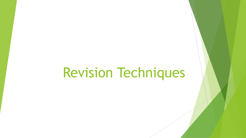# Revision Techniques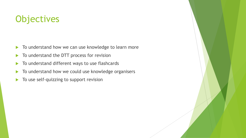# **Objectives**

- $\blacktriangleright$  To understand how we can use knowledge to learn more
- $\blacktriangleright$  To understand the DTT process for revision
- $\blacktriangleright$  To understand different ways to use flashcards
- $\triangleright$  To understand how we could use knowledge organisers
- $\blacktriangleright$  To use self-quizzing to support revision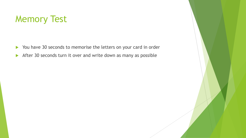# Memory Test

- You have 30 seconds to memorise the letters on your card in order
- After 30 seconds turn it over and write down as many as possible

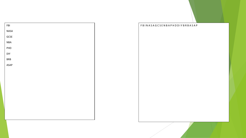

#### F B I N A S A G C S E N B A P H D D I Y B R B A S A P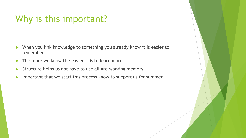# Why is this important?

- When you link knowledge to something you already know it is easier to remember
- $\blacktriangleright$  The more we know the easier it is to learn more
- Structure helps us not have to use all are working memory
- Important that we start this process know to support us for summer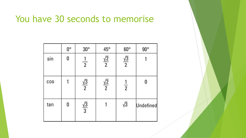### You have 30 seconds to memorise

|     | $0^{\circ}$ | $30^{\circ}$         | $45^{\circ}$         | $60^\circ$           | $90^{\circ}$ |
|-----|-------------|----------------------|----------------------|----------------------|--------------|
| sin | 0           | $\frac{1}{2}$        | $\frac{\sqrt{2}}{2}$ | $\frac{\sqrt{3}}{2}$ |              |
| cos |             | $\frac{\sqrt{3}}{2}$ | $\frac{\sqrt{2}}{2}$ | $\frac{1}{2}$        |              |
| tan | 0           | $\frac{\sqrt{3}}{3}$ |                      | $\sqrt{3}$           | Undefined    |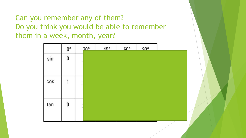Can you remember any of them? Do you think you would be able to remember them in a week, month, year?

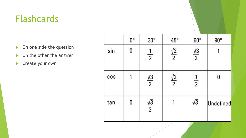# Flashcards

- On one side the question
- ▶ On the other the answer
- Create your own

|     | $0^\circ$ | $30^{\circ}$         | $45^{\circ}$         | $60^\circ$           | $90^{\circ}$ |
|-----|-----------|----------------------|----------------------|----------------------|--------------|
| sin | 0         | $\frac{1}{2}$        | $\frac{\sqrt{2}}{2}$ | $\frac{\sqrt{3}}{2}$ |              |
| cos |           | $\frac{\sqrt{3}}{2}$ | $\frac{\sqrt{2}}{2}$ | $\frac{1}{2}$        | 0            |
| tan | 0         | $\frac{\sqrt{3}}{3}$ |                      | $\sqrt{3}$           | Undefined    |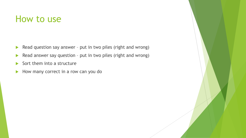#### How to use

- Read question say answer put in two piles (right and wrong)
- Read answer say question put in two piles (right and wrong)
- $\triangleright$  Sort them into a structure
- How many correct in a row can you do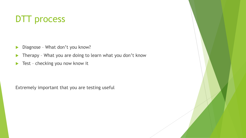# DTT process

- Diagnose What don't you know?
- ▶ Therapy What you are doing to learn what you don't know
- ▶ Test checking you now know it

Extremely important that you are testing useful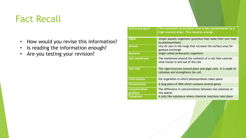# Fact Recall

- How would you revise this information?
- Is reading the information enough?
- Are you testing your revision?

| <b>Active transport</b>          | The movement of particles from a low concentration to a<br>high concentration. This requires energy.  |
|----------------------------------|-------------------------------------------------------------------------------------------------------|
| <b>Algae</b>                     | simple aquatic organisms (protista) that make their own food<br>by photosynthesis                     |
| <b>Alveoli</b>                   | tiny air sacs in the lungs that increase the surface area for<br>gaseous exchange                     |
| <b>Bacteria</b>                  | single-celled prokaryotic organisms                                                                   |
| Cell membrane                    | The membrane around the contents of a cell that controls<br>what moves in and out of the cell         |
| <b>Cell wall</b>                 | The rigid structure around plant and algal cells. It is made of<br>cellulose and strengthens the cell |
| <b>Chloroplasts</b>              | the organelles in which photosynthesis takes place                                                    |
| <b>Chromosome</b>                | A long piece of DNA which contains several genes                                                      |
| <b>Concentration</b><br>gradient | The difference in concentrations between two solutions or<br>two spaces                               |
| Cytoplasm                        | A jelly like substance where chemical reactions take place                                            |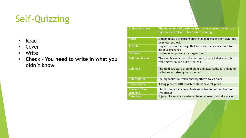# Self-Quizzing

- Read
- Cover
- Write
- **Check – You need to write in what you didn't know**

| <b>Active transport</b>          | The movement of particles from a low concentration to a<br>high concentration. This requires energy.  |
|----------------------------------|-------------------------------------------------------------------------------------------------------|
| <b>Algae</b>                     | simple aquatic organisms (protista) that make their own food<br>by photosynthesis                     |
| <b>Alveoli</b>                   | tiny air sacs in the lungs that increase the surface area for<br>gaseous exchange                     |
| <b>Bacteria</b>                  | single-celled prokaryotic organisms                                                                   |
| <b>Cell membrane</b>             | The membrane around the contents of a cell that controls<br>what moves in and out of the cell         |
| <b>Cell wall</b>                 | The rigid structure around plant and algal cells. It is made of<br>cellulose and strengthens the cell |
| <b>Chloroplasts</b>              | the organelles in which photosynthesis takes place                                                    |
| <b>Chromosome</b>                | A long piece of DNA which contains several genes                                                      |
| <b>Concentration</b><br>gradient | The difference in concentrations between two solutions or<br>two spaces                               |
| Cytoplasm                        | A jelly like substance where chemical reactions take place                                            |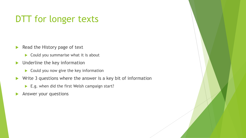# DTT for longer texts

- $\blacktriangleright$  Read the History page of text
	- $\triangleright$  Could you summarise what it is about
- **Inderline the key information** 
	- $\triangleright$  Could you now give the key information
- $\blacktriangleright$  Write 3 questions where the answer is a key bit of information
	- E.g. when did the first Welsh campaign start?
- Answer your questions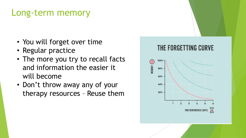# Long-term memory

- You will forget over time
- Regular practice
- The more you try to recall facts and information the easier it will become
- Don't throw away any of your therapy resources – Reuse them